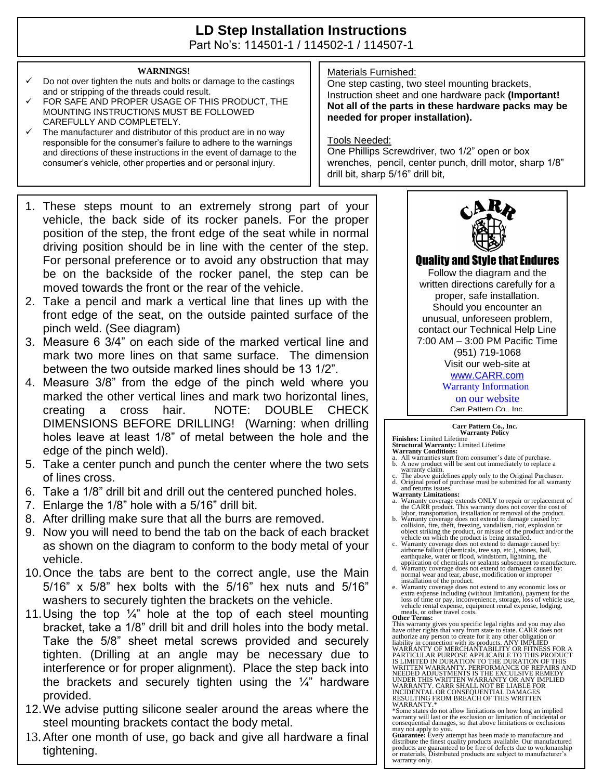## **LD Step Installation Instructions**  Part No's: 114501-1 / 114502-1 / 114507-1

**WARNINGS!**

- Do not over tighten the nuts and bolts or damage to the castings and or stripping of the threads could result.
- FOR SAFE AND PROPER USAGE OF THIS PRODUCT, THE MOUNTING INSTRUCTIONS MUST BE FOLLOWED CAREFULLY AND COMPLETELY.
- $\checkmark$  The manufacturer and distributor of this product are in no way responsible for the consumer's failure to adhere to the warnings and directions of these instructions in the event of damage to the consumer's vehicle, other properties and or personal injury.
- 1. These steps mount to an extremely strong part of your vehicle, the back side of its rocker panels. For the proper position of the step, the front edge of the seat while in normal driving position should be in line with the center of the step. For personal preference or to avoid any obstruction that may be on the backside of the rocker panel, the step can be moved towards the front or the rear of the vehicle.
- 2. Take a pencil and mark a vertical line that lines up with the front edge of the seat, on the outside painted surface of the pinch weld. (See diagram)
- 3. Measure 6 3/4" on each side of the marked vertical line and mark two more lines on that same surface. The dimension between the two outside marked lines should be 13 1/2".
- 4. Measure 3/8" from the edge of the pinch weld where you marked the other vertical lines and mark two horizontal lines, creating a cross hair. NOTE: DOUBLE CHECK DIMENSIONS BEFORE DRILLING! (Warning: when drilling holes leave at least 1/8" of metal between the hole and the edge of the pinch weld).
- 5. Take a center punch and punch the center where the two sets of lines cross.
- 6. Take a 1/8" drill bit and drill out the centered punched holes.
- 7. Enlarge the 1/8" hole with a 5/16" drill bit.
- 8. After drilling make sure that all the burrs are removed.
- 9. Now you will need to bend the tab on the back of each bracket as shown on the diagram to conform to the body metal of your vehicle.
- 10.Once the tabs are bent to the correct angle, use the Main 5/16" x 5/8" hex bolts with the 5/16" hex nuts and 5/16" washers to securely tighten the brackets on the vehicle.
- 11. Using the top  $\frac{1}{4}$ " hole at the top of each steel mounting bracket, take a 1/8" drill bit and drill holes into the body metal. Take the 5/8" sheet metal screws provided and securely tighten. (Drilling at an angle may be necessary due to interference or for proper alignment). Place the step back into the brackets and securely tighten using the  $\frac{1}{4}$ " hardware provided.
- 12.We advise putting silicone sealer around the areas where the steel mounting brackets contact the body metal.
- 13.After one month of use, go back and give all hardware a final tightening.

## Materials Furnished:

One step casting, two steel mounting brackets, Instruction sheet and one hardware pack **(Important! Not all of the parts in these hardware packs may be needed for proper installation).**

Tools Needed:

One Phillips Screwdriver, two 1/2" open or box wrenches, pencil, center punch, drill motor, sharp 1/8" drill bit, sharp 5/16" drill bit,



Quality and Style that Endures

Follow the diagram and the written directions carefully for a proper, safe installation. Should you encounter an unusual, unforeseen problem, contact our Technical Help Line 7:00 AM – 3:00 PM Pacific Time (951) 719-1068 Visit our web-site at [www.CARR.com](http://www.carr.com/)

Warranty Information

on our website

Carr Pattern Co., Inc.

**Carr Pattern Co., Inc. Warranty Policy**

- **Finishes:** Limited Lifetime<br>**Structural Warranty:** Limited Lifetime<br>**Warranty Conditions:**<br>a. All warranties start from consumer's date of purchase.<br>b. A new product will be sent out immediately to replace a<br>warranty clai
- d. Original proof of purchase must be submitted for all warranty and returns issues.

**Warranty Limitations:**

- a. Warranty coverage extends ONLY to repair or replacement of the CARR product. This warranty does not cover the cost of
- labor, transportation, installation or removal of the product. b. Warranty coverage does not extend to damage caused by: collision, fire, theft, freezing, vandalism, riot, explosion or object striking the product, or misuse of the product and/or the vehicle on which the product is being installed. c. Warranty coverage does not extend to damage caused by:
- airborne fallout (chemicals, tree sap, etc.), stones, hail, earthquake, water or flood, windstorm, lightning, the
- application of chemicals or sealants subsequent to manufacture. d. Warranty coverage does not extend to damages caused by: normal wear and tear, abuse, modification or improper
- installation of the product.<br>
Warranty coverage does not extend to any economic loss or<br>
warranty coverage does not extend to any economic loss or<br>
extra expense including (without limitation), payment for the<br>
loss of tim

**Other Terms:**<br>This warranty gives you specific legal rights and you may also have other rights that vary from state to state. CARR does not<br>authorize any person to create for it any other obligation or<br>liability in connection with its products. ANY IMPLIED<br>WARRANTY OF MERCHANTABILITY OR FITNESS FOR WRITTEN WARRANTY. PERFORMANCE OF REPAIRS AND<br>NEEDED ADJUSTMENTS IS THE EXCULSIVE REMEDY<br>UNDER THIS WRITTEN WARRANTY OR ANY IMPLIED

WARRANTY. CARR SHALL NOT BE LIABLE FOR INCIDENTAL OR CONSEQUENTIAL DAMAGES RESULTING FROM BREACH OF THIS WRITTEN WARRANTY.\* \*Some states do not allow limitations on how long an implied

warranty will last or the exclusion or limitation of incidental or consequential damages, so that above limitations or exclusions

may not apply to you.<br>**Guarantee:** Every attempt has been made to manufacture and<br>distribute the finest quality products available. Our manufactured<br>products are guaranteed to be free of defects due to workmanship<br>or mater warranty only.